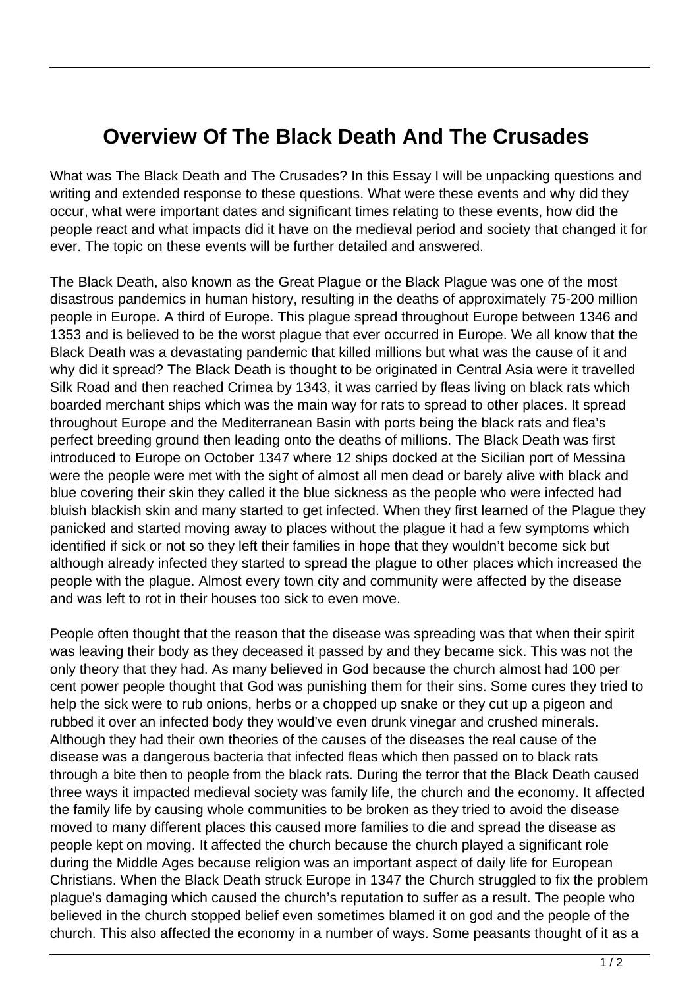## **Overview Of The Black Death And The Crusades**

What was The Black Death and The Crusades? In this Essay I will be unpacking questions and writing and extended response to these questions. What were these events and why did they occur, what were important dates and significant times relating to these events, how did the people react and what impacts did it have on the medieval period and society that changed it for ever. The topic on these events will be further detailed and answered.

The Black Death, also known as the Great Plague or the Black Plague was one of the most disastrous pandemics in human history, resulting in the deaths of approximately 75-200 million people in Europe. A third of Europe. This plague spread throughout Europe between 1346 and 1353 and is believed to be the worst plague that ever occurred in Europe. We all know that the Black Death was a devastating pandemic that killed millions but what was the cause of it and why did it spread? The Black Death is thought to be originated in Central Asia were it travelled Silk Road and then reached Crimea by 1343, it was carried by fleas living on black rats which boarded merchant ships which was the main way for rats to spread to other places. It spread throughout Europe and the Mediterranean Basin with ports being the black rats and flea's perfect breeding ground then leading onto the deaths of millions. The Black Death was first introduced to Europe on October 1347 where 12 ships docked at the Sicilian port of Messina were the people were met with the sight of almost all men dead or barely alive with black and blue covering their skin they called it the blue sickness as the people who were infected had bluish blackish skin and many started to get infected. When they first learned of the Plague they panicked and started moving away to places without the plague it had a few symptoms which identified if sick or not so they left their families in hope that they wouldn't become sick but although already infected they started to spread the plague to other places which increased the people with the plague. Almost every town city and community were affected by the disease and was left to rot in their houses too sick to even move.

People often thought that the reason that the disease was spreading was that when their spirit was leaving their body as they deceased it passed by and they became sick. This was not the only theory that they had. As many believed in God because the church almost had 100 per cent power people thought that God was punishing them for their sins. Some cures they tried to help the sick were to rub onions, herbs or a chopped up snake or they cut up a pigeon and rubbed it over an infected body they would've even drunk vinegar and crushed minerals. Although they had their own theories of the causes of the diseases the real cause of the disease was a dangerous bacteria that infected fleas which then passed on to black rats through a bite then to people from the black rats. During the terror that the Black Death caused three ways it impacted medieval society was family life, the church and the economy. It affected the family life by causing whole communities to be broken as they tried to avoid the disease moved to many different places this caused more families to die and spread the disease as people kept on moving. It affected the church because the church played a significant role during the Middle Ages because religion was an important aspect of daily life for European Christians. When the Black Death struck Europe in 1347 the Church struggled to fix the problem plague's damaging which caused the church's reputation to suffer as a result. The people who believed in the church stopped belief even sometimes blamed it on god and the people of the church. This also affected the economy in a number of ways. Some peasants thought of it as a